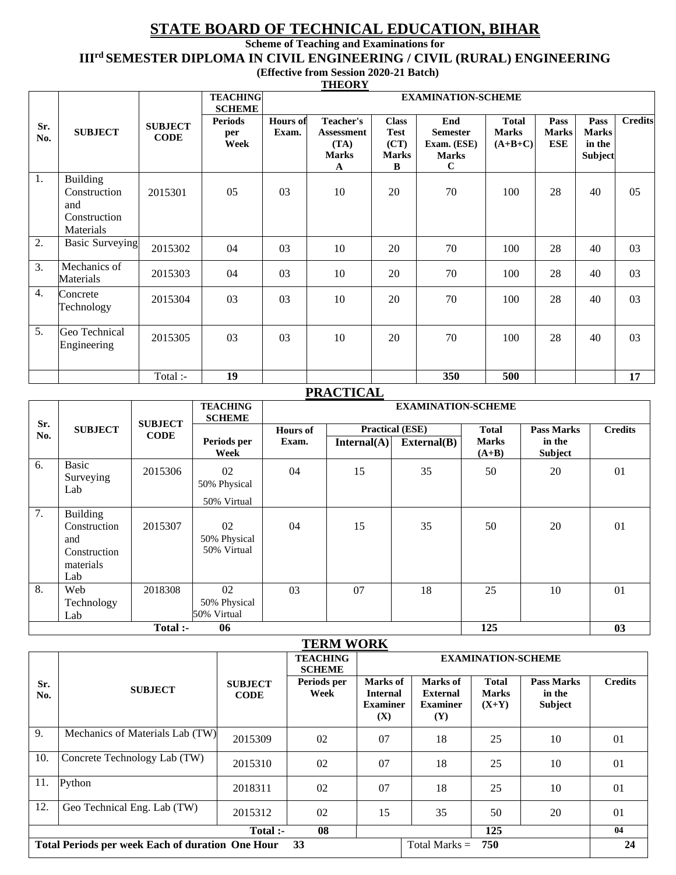# **STATE BOARD OF TECHNICAL EDUCATION, BIHAR**

**Scheme of Teaching and Examinations for**

**IIIrd SEMESTER DIPLOMA IN CIVIL ENGINEERING / CIVIL (RURAL) ENGINEERING**

 **(Effective from Session 2020-21 Batch) THEORY**

|                |                                                                     |                               |                                                |                          | <u>11100111</u>                                                    |                                                          |                                                                      |                                           |                             |                                           |                |
|----------------|---------------------------------------------------------------------|-------------------------------|------------------------------------------------|--------------------------|--------------------------------------------------------------------|----------------------------------------------------------|----------------------------------------------------------------------|-------------------------------------------|-----------------------------|-------------------------------------------|----------------|
|                |                                                                     |                               | <b>TEACHING</b>                                |                          |                                                                    |                                                          | <b>EXAMINATION-SCHEME</b>                                            |                                           |                             |                                           |                |
| Sr.<br>No.     | <b>SUBJECT</b>                                                      | <b>SUBJECT</b><br><b>CODE</b> | <b>SCHEME</b><br><b>Periods</b><br>per<br>Week | <b>Hours</b> of<br>Exam. | <b>Teacher's</b><br><b>Assessment</b><br>(TA)<br><b>Marks</b><br>A | <b>Class</b><br><b>Test</b><br>(CT)<br><b>Marks</b><br>B | End<br><b>Semester</b><br>Exam. (ESE)<br><b>Marks</b><br>$\mathbf C$ | <b>Total</b><br><b>Marks</b><br>$(A+B+C)$ | Pass<br><b>Marks</b><br>ESE | Pass<br><b>Marks</b><br>in the<br>Subject | <b>Credits</b> |
| -1.            | <b>Building</b><br>Construction<br>and<br>Construction<br>Materials | 2015301                       | 05                                             | 03                       | 10                                                                 | 20                                                       | 70                                                                   | 100                                       | 28                          | 40                                        | 05             |
| 2.             | <b>Basic Surveying</b>                                              | 2015302                       | 04                                             | 03                       | 10                                                                 | 20                                                       | 70                                                                   | 100                                       | 28                          | 40                                        | 03             |
| 3.             | Mechanics of<br>Materials                                           | 2015303                       | 04                                             | 03                       | 10                                                                 | 20                                                       | 70                                                                   | 100                                       | 28                          | 40                                        | 03             |
| 4.             | Concrete<br>Technology                                              | 2015304                       | 03                                             | 03                       | 10                                                                 | 20                                                       | 70                                                                   | 100                                       | 28                          | 40                                        | 03             |
| 5 <sub>1</sub> | Geo Technical<br>Engineering                                        | 2015305                       | 03                                             | 03                       | 10                                                                 | 20                                                       | 70                                                                   | 100                                       | 28                          | 40                                        | 03             |
|                |                                                                     | Total :-                      | $\overline{19}$                                |                          |                                                                    |                                                          | 350                                                                  | 500                                       |                             |                                           | 17             |

## **PRACTICAL**

|            |                                                                            |                               | <b>TEACHING</b><br><b>SCHEME</b>  |                 |             | <b>EXAMINATION-SCHEME</b>       |                         |                          |                |
|------------|----------------------------------------------------------------------------|-------------------------------|-----------------------------------|-----------------|-------------|---------------------------------|-------------------------|--------------------------|----------------|
| Sr.<br>No. | <b>SUBJECT</b>                                                             | <b>SUBJECT</b><br><b>CODE</b> |                                   | <b>Hours</b> of |             | <b>Practical (ESE)</b>          | <b>Total</b>            | <b>Pass Marks</b>        | <b>Credits</b> |
|            |                                                                            |                               | Periods per<br>Week               | Exam.           | Internal(A) | $\textbf{External}(\textbf{B})$ | <b>Marks</b><br>$(A+B)$ | in the<br><b>Subject</b> |                |
| 6.         | Basic<br>Surveying<br>Lab                                                  | 2015306                       | 02<br>50% Physical<br>50% Virtual | 04              | 15          | 35                              | 50                      | 20                       | 01             |
| 7.         | <b>Building</b><br>Construction<br>and<br>Construction<br>materials<br>Lab | 2015307                       | 02<br>50% Physical<br>50% Virtual | 04              | 15          | 35                              | 50                      | 20                       | 01             |
| 8.         | Web<br>Technology<br>Lab                                                   | 2018308                       | 02<br>50% Physical<br>50% Virtual | 03              | 07          | 18                              | 25                      | 10                       | 01             |
|            |                                                                            | Total :-                      | 06                                |                 |             |                                 | $\overline{125}$        |                          | 03             |

|            |                                                         |                               | <b>TERM WORK</b>                 |                                                       |                                                              |                                         |                                               |                |  |
|------------|---------------------------------------------------------|-------------------------------|----------------------------------|-------------------------------------------------------|--------------------------------------------------------------|-----------------------------------------|-----------------------------------------------|----------------|--|
|            |                                                         |                               | <b>TEACHING</b><br><b>SCHEME</b> | <b>EXAMINATION-SCHEME</b>                             |                                                              |                                         |                                               |                |  |
| Sr.<br>No. | <b>SUBJECT</b>                                          | <b>SUBJECT</b><br><b>CODE</b> | Periods per<br>Week              | Marks of<br><b>Internal</b><br><b>Examiner</b><br>(X) | Marks of<br><b>External</b><br><b>Examiner</b><br><b>(Y)</b> | <b>Total</b><br><b>Marks</b><br>$(X+Y)$ | <b>Pass Marks</b><br>in the<br><b>Subject</b> | <b>Credits</b> |  |
| 9.         | Mechanics of Materials Lab (TW)                         | 2015309                       | 02                               | 07                                                    | 18                                                           | 25                                      | 10                                            | 01             |  |
| 10.        | Concrete Technology Lab (TW)                            | 2015310                       | 02                               | 07                                                    | 18                                                           | 25                                      | 10                                            | 01             |  |
| 11.        | Python                                                  | 2018311                       | 02                               | 07                                                    | 18                                                           | 25                                      | 10                                            | 01             |  |
| 12.        | Geo Technical Eng. Lab (TW)                             | 2015312                       | 02                               | 15                                                    | 35                                                           | 50                                      | 20                                            | 01             |  |
|            |                                                         | Total :-                      | 08                               |                                                       |                                                              | 125                                     |                                               | 04             |  |
|            | <b>Total Periods per week Each of duration One Hour</b> |                               | 33                               |                                                       | Total Marks $=$                                              | 750                                     |                                               | 24             |  |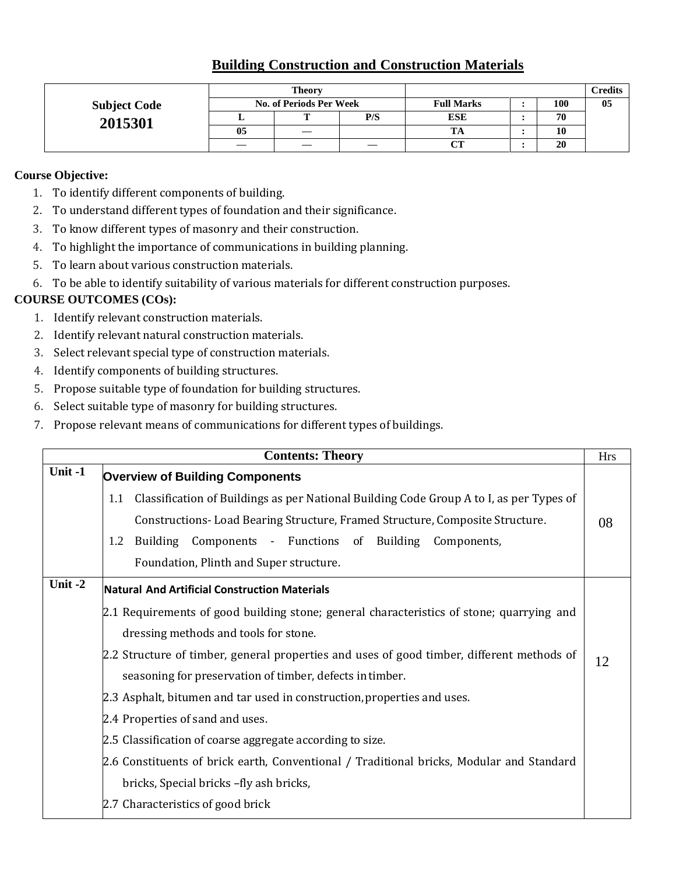# **Building Construction and Construction Materials**

|                     | <b>Theory</b> |                                |     |                   | Credits |    |
|---------------------|---------------|--------------------------------|-----|-------------------|---------|----|
| <b>Subject Code</b> |               | <b>No. of Periods Per Week</b> |     | <b>Full Marks</b> | 100     | 05 |
| 2015301             |               |                                | P/S | <b>ESE</b>        | 70      |    |
|                     | 05            |                                |     | TA                | 10      |    |
|                     |               |                                |     | $\sim$            | 20      |    |

#### **Course Objective:**

- 1. To identify different components of building.
- 2. To understand different types of foundation and their significance.
- 3. To know different types of masonry and their construction.
- 4. To highlight the importance of communications in building planning.
- 5. To learn about various construction materials.
- 6. To be able to identify suitability of various materials for different construction purposes.

- 1. Identify relevant construction materials.
- 2. Identify relevant natural construction materials.
- 3. Select relevant special type of construction materials.
- 4. Identify components of building structures.
- 5. Propose suitable type of foundation for building structures.
- 6. Select suitable type of masonry for building structures.
- 7. Propose relevant means of communications for different types of buildings.

|         | <b>Contents: Theory</b>                                                                        | <b>Hrs</b> |  |  |  |  |  |
|---------|------------------------------------------------------------------------------------------------|------------|--|--|--|--|--|
| Unit -1 | <b>Overview of Building Components</b>                                                         |            |  |  |  |  |  |
|         | Classification of Buildings as per National Building Code Group A to I, as per Types of<br>1.1 |            |  |  |  |  |  |
|         | Constructions- Load Bearing Structure, Framed Structure, Composite Structure.<br>08            |            |  |  |  |  |  |
|         | Building Components - Functions of Building Components,<br>1.2                                 |            |  |  |  |  |  |
|         | Foundation, Plinth and Super structure.                                                        |            |  |  |  |  |  |
| Unit-2  | <b>Natural And Artificial Construction Materials</b>                                           |            |  |  |  |  |  |
|         | 2.1 Requirements of good building stone; general characteristics of stone; quarrying and       |            |  |  |  |  |  |
|         | dressing methods and tools for stone.                                                          |            |  |  |  |  |  |
|         | 2.2 Structure of timber, general properties and uses of good timber, different methods of      | 12         |  |  |  |  |  |
|         | seasoning for preservation of timber, defects in timber.                                       |            |  |  |  |  |  |
|         | 2.3 Asphalt, bitumen and tar used in construction, properties and uses.                        |            |  |  |  |  |  |
|         | 2.4 Properties of sand and uses.                                                               |            |  |  |  |  |  |
|         | 2.5 Classification of coarse aggregate according to size.                                      |            |  |  |  |  |  |
|         | 2.6 Constituents of brick earth, Conventional / Traditional bricks, Modular and Standard       |            |  |  |  |  |  |
|         | bricks, Special bricks - fly ash bricks,                                                       |            |  |  |  |  |  |
|         | 2.7 Characteristics of good brick                                                              |            |  |  |  |  |  |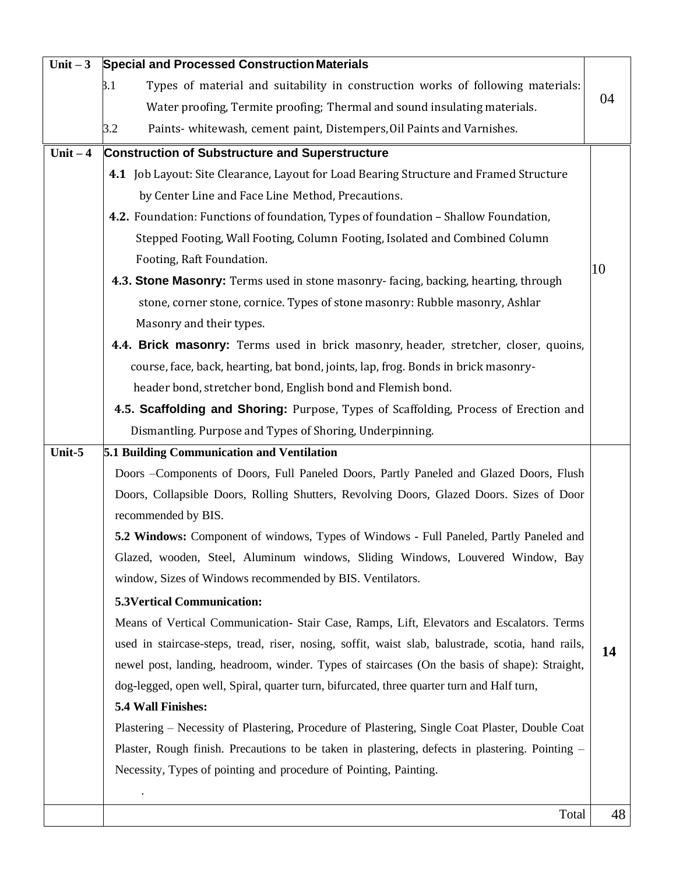| Unit $-3$ | <b>Special and Processed Construction Materials</b>                                                |    |  |  |  |
|-----------|----------------------------------------------------------------------------------------------------|----|--|--|--|
|           | 3.1<br>Types of material and suitability in construction works of following materials:             |    |  |  |  |
|           | Water proofing, Termite proofing; Thermal and sound insulating materials.                          | 04 |  |  |  |
|           | Paints- whitewash, cement paint, Distempers, Oil Paints and Varnishes.<br>3.2                      |    |  |  |  |
| Unit $-4$ | <b>Construction of Substructure and Superstructure</b>                                             |    |  |  |  |
|           | 4.1 Job Layout: Site Clearance, Layout for Load Bearing Structure and Framed Structure             |    |  |  |  |
|           | by Center Line and Face Line Method, Precautions.                                                  |    |  |  |  |
|           | 4.2. Foundation: Functions of foundation, Types of foundation - Shallow Foundation,                |    |  |  |  |
|           | Stepped Footing, Wall Footing, Column Footing, Isolated and Combined Column                        |    |  |  |  |
|           | Footing, Raft Foundation.                                                                          |    |  |  |  |
|           | 4.3. Stone Masonry: Terms used in stone masonry-facing, backing, hearting, through                 | 10 |  |  |  |
|           | stone, corner stone, cornice. Types of stone masonry: Rubble masonry, Ashlar                       |    |  |  |  |
|           | Masonry and their types.                                                                           |    |  |  |  |
|           | 4.4. Brick masonry: Terms used in brick masonry, header, stretcher, closer, quoins,                |    |  |  |  |
|           | course, face, back, hearting, bat bond, joints, lap, frog. Bonds in brick masonry-                 |    |  |  |  |
|           | header bond, stretcher bond, English bond and Flemish bond.                                        |    |  |  |  |
|           | 4.5. Scaffolding and Shoring: Purpose, Types of Scaffolding, Process of Erection and               |    |  |  |  |
|           | Dismantling. Purpose and Types of Shoring, Underpinning.                                           |    |  |  |  |
| Unit-5    | 5.1 Building Communication and Ventilation                                                         |    |  |  |  |
|           | Doors -Components of Doors, Full Paneled Doors, Partly Paneled and Glazed Doors, Flush             |    |  |  |  |
|           | Doors, Collapsible Doors, Rolling Shutters, Revolving Doors, Glazed Doors. Sizes of Door           |    |  |  |  |
|           | recommended by BIS.                                                                                |    |  |  |  |
|           | 5.2 Windows: Component of windows, Types of Windows - Full Paneled, Partly Paneled and             |    |  |  |  |
|           | Glazed, wooden, Steel, Aluminum windows, Sliding Windows, Louvered Window, Bay                     |    |  |  |  |
|           | window, Sizes of Windows recommended by BIS. Ventilators.                                          |    |  |  |  |
|           | <b>5.3Vertical Communication:</b>                                                                  |    |  |  |  |
|           | Means of Vertical Communication- Stair Case, Ramps, Lift, Elevators and Escalators. Terms          |    |  |  |  |
|           | used in staircase-steps, tread, riser, nosing, soffit, waist slab, balustrade, scotia, hand rails, | 14 |  |  |  |
|           | newel post, landing, headroom, winder. Types of staircases (On the basis of shape): Straight,      |    |  |  |  |
|           | dog-legged, open well, Spiral, quarter turn, bifurcated, three quarter turn and Half turn,         |    |  |  |  |
|           | 5.4 Wall Finishes:                                                                                 |    |  |  |  |
|           | Plastering – Necessity of Plastering, Procedure of Plastering, Single Coat Plaster, Double Coat    |    |  |  |  |
|           | Plaster, Rough finish. Precautions to be taken in plastering, defects in plastering. Pointing –    |    |  |  |  |
|           | Necessity, Types of pointing and procedure of Pointing, Painting.                                  |    |  |  |  |
|           |                                                                                                    |    |  |  |  |
|           | Total                                                                                              | 48 |  |  |  |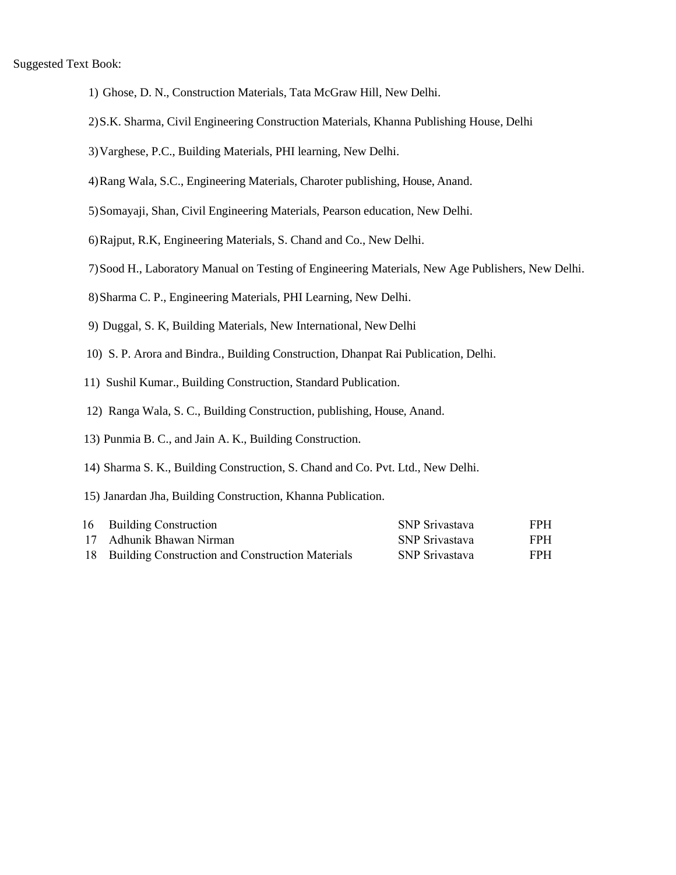- 1) Ghose, D. N., Construction Materials, Tata McGraw Hill, New Delhi.
- 2)S.K. Sharma, Civil Engineering Construction Materials, Khanna Publishing House, Delhi
- 3)Varghese, P.C., Building Materials, PHI learning, New Delhi.
- 4)Rang Wala, S.C., Engineering Materials, Charoter publishing, House, Anand.
- 5)Somayaji, Shan, Civil Engineering Materials, Pearson education, New Delhi.
- 6)Rajput, R.K, Engineering Materials, S. Chand and Co., New Delhi.
- 7)Sood H., Laboratory Manual on Testing of Engineering Materials, New Age Publishers, New Delhi.
- 8)Sharma C. P., Engineering Materials, PHI Learning, New Delhi.
- 9) Duggal, S. K, Building Materials, New International, New Delhi
- 10) S. P. Arora and Bindra., Building Construction, Dhanpat Rai Publication, Delhi.
- 11) Sushil Kumar., Building Construction, Standard Publication.
- 12) Ranga Wala, S. C., Building Construction, publishing, House, Anand.
- 13) Punmia B. C., and Jain A. K., Building Construction.
- 14) Sharma S. K., Building Construction, S. Chand and Co. Pvt. Ltd., New Delhi.
- 15) Janardan Jha, Building Construction, Khanna Publication.

| 16 Building Construction                            | <b>SNP</b> Srivastava | <b>FPH</b> |
|-----------------------------------------------------|-----------------------|------------|
| 17 Adhunik Bhawan Nirman                            | <b>SNP</b> Srivastava | <b>FPH</b> |
| 18 Building Construction and Construction Materials | SNP Srivastava        | <b>FPH</b> |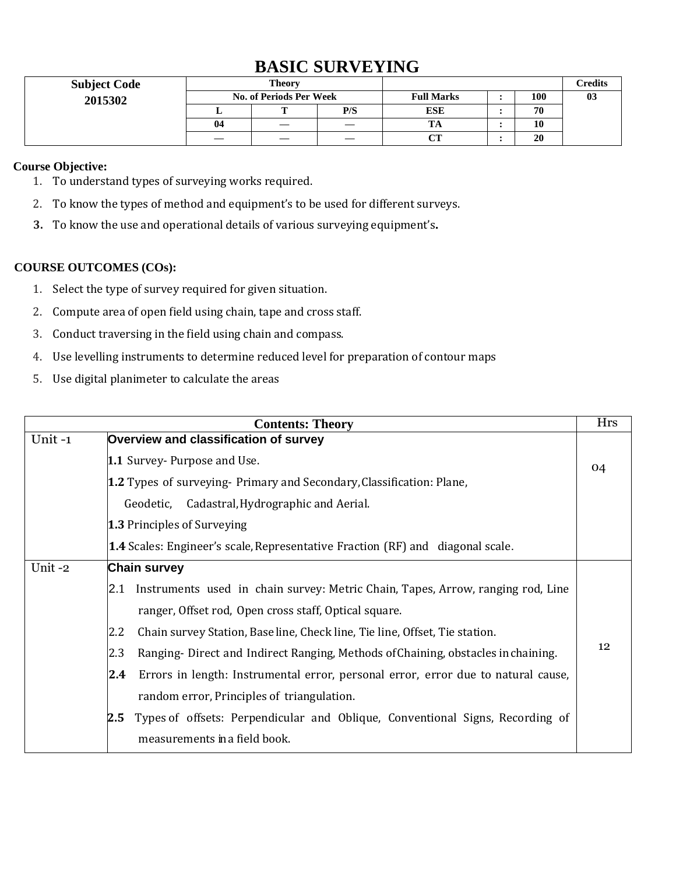# **BASIC SURVEYING**

| <b>Subject Code</b> |                                | Theory |     |                      |     | Credits |
|---------------------|--------------------------------|--------|-----|----------------------|-----|---------|
| 2015302             | <b>No. of Periods Per Week</b> |        |     | <b>Full Marks</b>    | 100 | 03      |
|                     |                                |        | P/S | <b>ESE</b>           | 70  |         |
|                     | 04                             |        |     | $\mathbf{m}$ .<br>ıА | 10  |         |
|                     |                                |        |     | $\alpha$ tr          | 20  |         |

#### **Course Objective:**

- 1. To understand types of surveying works required.
- 2. To know the types of method and equipment's to be used for different surveys.
- **3.** To know the use and operational details of various surveying equipment's**.**

- 1. Select the type of survey required for given situation.
- 2. Compute area of open field using chain, tape and cross staff.
- 3. Conduct traversing in the field using chain and compass.
- 4. Use levelling instruments to determine reduced level for preparation of contour maps
- 5. Use digital planimeter to calculate the areas

|        | <b>Contents: Theory</b>                                                                  | <b>Hrs</b> |  |  |  |  |  |
|--------|------------------------------------------------------------------------------------------|------------|--|--|--|--|--|
| Unit-1 | Overview and classification of survey                                                    |            |  |  |  |  |  |
|        | 1.1 Survey- Purpose and Use.                                                             | 04         |  |  |  |  |  |
|        | 1.2 Types of surveying- Primary and Secondary, Classification: Plane,                    |            |  |  |  |  |  |
|        | Geodetic, Cadastral, Hydrographic and Aerial.                                            |            |  |  |  |  |  |
|        | <b>1.3 Principles of Surveying</b>                                                       |            |  |  |  |  |  |
|        | <b>1.4</b> Scales: Engineer's scale, Representative Fraction (RF) and diagonal scale.    |            |  |  |  |  |  |
| Unit-2 | <b>Chain survey</b>                                                                      |            |  |  |  |  |  |
|        | Instruments used in chain survey: Metric Chain, Tapes, Arrow, ranging rod, Line<br>2.1   |            |  |  |  |  |  |
|        | ranger, Offset rod, Open cross staff, Optical square.                                    |            |  |  |  |  |  |
|        | Chain survey Station, Baseline, Check line, Tie line, Offset, Tie station.<br>2.2        |            |  |  |  |  |  |
|        | 2.3<br>Ranging-Direct and Indirect Ranging, Methods of Chaining, obstacles in chaining.  | 12         |  |  |  |  |  |
|        | Errors in length: Instrumental error, personal error, error due to natural cause,<br>2.4 |            |  |  |  |  |  |
|        | random error, Principles of triangulation.                                               |            |  |  |  |  |  |
|        | Types of offsets: Perpendicular and Oblique, Conventional Signs, Recording of<br>2.5     |            |  |  |  |  |  |
|        | measurements in a field book.                                                            |            |  |  |  |  |  |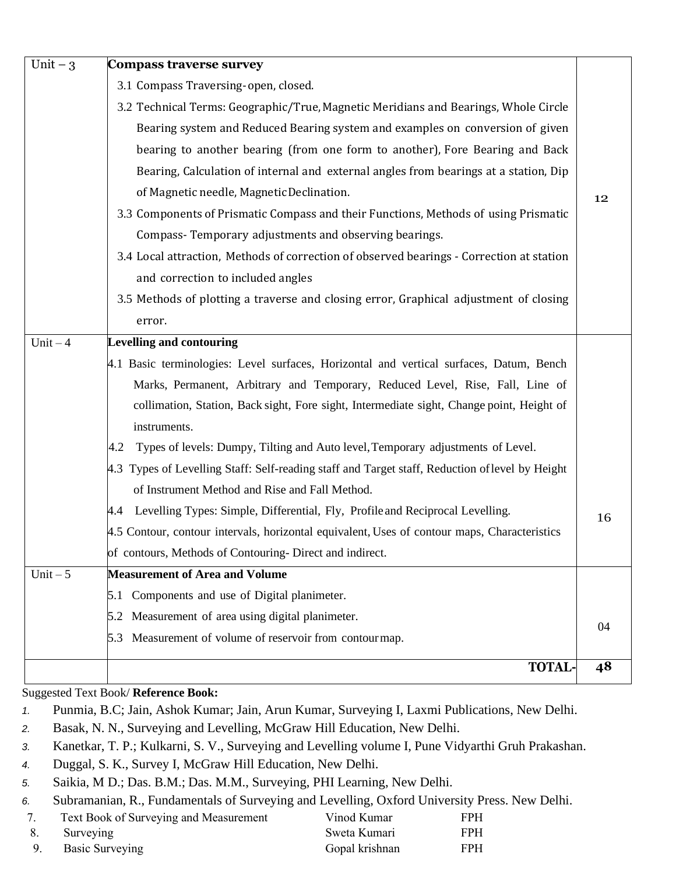| Unit $-3$  | <b>Compass traverse survey</b>                                                                  |    |
|------------|-------------------------------------------------------------------------------------------------|----|
|            | 3.1 Compass Traversing-open, closed.                                                            |    |
|            | 3.2 Technical Terms: Geographic/True, Magnetic Meridians and Bearings, Whole Circle             |    |
|            | Bearing system and Reduced Bearing system and examples on conversion of given                   |    |
|            | bearing to another bearing (from one form to another), Fore Bearing and Back                    |    |
|            | Bearing, Calculation of internal and external angles from bearings at a station, Dip            |    |
|            | of Magnetic needle, Magnetic Declination.                                                       | 12 |
|            | 3.3 Components of Prismatic Compass and their Functions, Methods of using Prismatic             |    |
|            | Compass-Temporary adjustments and observing bearings.                                           |    |
|            | 3.4 Local attraction, Methods of correction of observed bearings - Correction at station        |    |
|            | and correction to included angles                                                               |    |
|            | 3.5 Methods of plotting a traverse and closing error, Graphical adjustment of closing           |    |
|            | error.                                                                                          |    |
| $Unit - 4$ | <b>Levelling and contouring</b>                                                                 |    |
|            | 4.1 Basic terminologies: Level surfaces, Horizontal and vertical surfaces, Datum, Bench         |    |
|            | Marks, Permanent, Arbitrary and Temporary, Reduced Level, Rise, Fall, Line of                   |    |
|            | collimation, Station, Back sight, Fore sight, Intermediate sight, Change point, Height of       |    |
|            | instruments.                                                                                    |    |
|            | Types of levels: Dumpy, Tilting and Auto level, Temporary adjustments of Level.<br>4.2          |    |
|            | 4.3 Types of Levelling Staff: Self-reading staff and Target staff, Reduction of level by Height |    |
|            | of Instrument Method and Rise and Fall Method.                                                  |    |
|            | 4.4 Levelling Types: Simple, Differential, Fly, Profile and Reciprocal Levelling.               | 16 |
|            | 4.5 Contour, contour intervals, horizontal equivalent, Uses of contour maps, Characteristics    |    |
|            | of contours, Methods of Contouring- Direct and indirect.                                        |    |
| Unit $-5$  | <b>Measurement of Area and Volume</b>                                                           |    |
|            | 5.1 Components and use of Digital planimeter.                                                   |    |
|            | 5.2 Measurement of area using digital planimeter.                                               | 04 |
|            | 5.3 Measurement of volume of reservoir from contour map.                                        |    |
|            | <b>TOTAL-</b>                                                                                   | 48 |
|            |                                                                                                 |    |

Suggested Text Book/ **Reference Book:**

- *1.* Punmia, B.C; Jain, Ashok Kumar; Jain, Arun Kumar, Surveying I, Laxmi Publications, New Delhi.
- *2.* Basak, N. N., Surveying and Levelling, McGraw Hill Education, New Delhi.
- *3.* Kanetkar, T. P.; Kulkarni, S. V., Surveying and Levelling volume I, Pune Vidyarthi Gruh Prakashan.
- *4.* Duggal, S. K., Survey I, McGraw Hill Education, New Delhi.
- *5.* Saikia, M D.; Das. B.M.; Das. M.M., Surveying, PHI Learning, New Delhi.
- *6.* Subramanian, R., Fundamentals of Surveying and Levelling, Oxford University Press. New Delhi.

|    | Text Book of Surveying and Measurement | Vinod Kumar    | <b>FPH</b> |
|----|----------------------------------------|----------------|------------|
| 8. | Surveying                              | Sweta Kumari   | <b>FPH</b> |
|    | Basic Surveying                        | Gopal krishnan | <b>FPH</b> |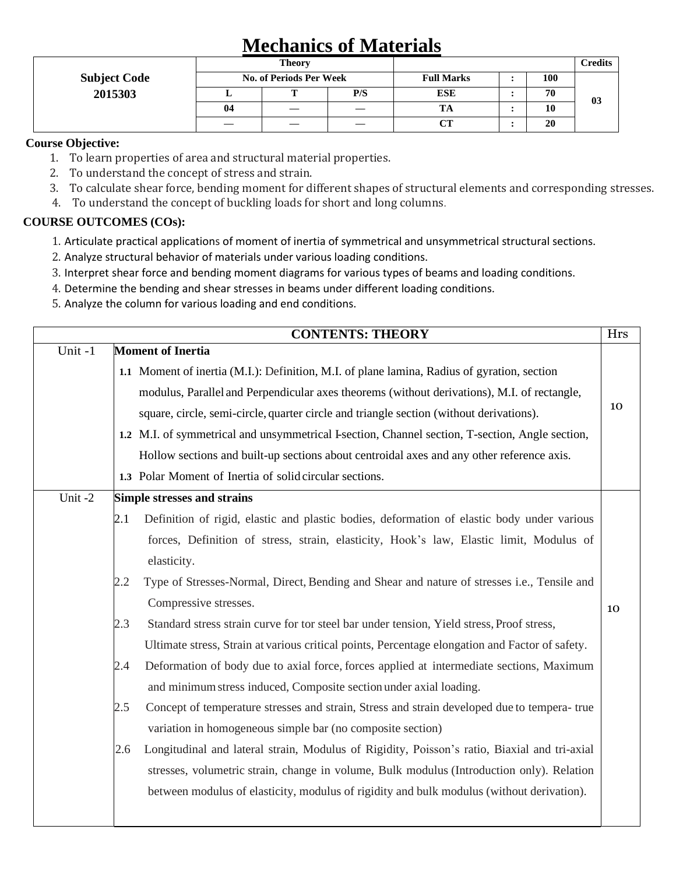# **Mechanics of Materials**

|                     |    | <b>Theory</b>                  |     |                   | <b>Credits</b> |    |
|---------------------|----|--------------------------------|-----|-------------------|----------------|----|
| <b>Subject Code</b> |    | <b>No. of Periods Per Week</b> |     | <b>Full Marks</b> | 100            |    |
| 2015303             |    |                                | P/S | <b>ESE</b>        | 70             | 03 |
|                     | 04 |                                |     |                   | 10             |    |
|                     |    |                                |     | CТ                | 20             |    |

#### **Course Objective:**

- 1. To learn properties of area and structural material properties.
- 2. To understand the concept of stress and strain.
- 3. To calculate shear force, bending moment for different shapes of structural elements and corresponding stresses.
- 4. To understand the concept of buckling loads for short and long columns.

- 1. Articulate practical applications of moment of inertia of symmetrical and unsymmetrical structural sections.
- 2. Analyze structural behavior of materials under various loading conditions.
- 3. Interpret shear force and bending moment diagrams for various types of beams and loading conditions.
- 4. Determine the bending and shear stresses in beams under different loading conditions.
- 5. Analyze the column for various loading and end conditions.

|        | <b>CONTENTS: THEORY</b>                                                                             | Hrs |
|--------|-----------------------------------------------------------------------------------------------------|-----|
| Unit-1 | <b>Moment of Inertia</b>                                                                            |     |
|        | 1.1 Moment of inertia (M.I.): Definition, M.I. of plane lamina, Radius of gyration, section         |     |
|        | modulus, Parallel and Perpendicular axes theorems (without derivations), M.I. of rectangle,         |     |
|        | square, circle, semi-circle, quarter circle and triangle section (without derivations).             | 10  |
|        | 1.2 M.I. of symmetrical and unsymmetrical I-section, Channel section, T-section, Angle section,     |     |
|        | Hollow sections and built-up sections about centroidal axes and any other reference axis.           |     |
|        | 1.3 Polar Moment of Inertia of solid circular sections.                                             |     |
| Unit-2 | <b>Simple stresses and strains</b>                                                                  |     |
|        | Definition of rigid, elastic and plastic bodies, deformation of elastic body under various<br>2.1   |     |
|        | forces, Definition of stress, strain, elasticity, Hook's law, Elastic limit, Modulus of             |     |
|        | elasticity.                                                                                         |     |
|        | Type of Stresses-Normal, Direct, Bending and Shear and nature of stresses i.e., Tensile and<br>2.2  |     |
|        | Compressive stresses.                                                                               | 10  |
|        | Standard stress strain curve for tor steel bar under tension, Yield stress, Proof stress,<br>2.3    |     |
|        | Ultimate stress, Strain at various critical points, Percentage elongation and Factor of safety.     |     |
|        | Deformation of body due to axial force, forces applied at intermediate sections, Maximum<br>2.4     |     |
|        | and minimum stress induced, Composite section under axial loading.                                  |     |
|        | Concept of temperature stresses and strain, Stress and strain developed due to tempera- true<br>2.5 |     |
|        | variation in homogeneous simple bar (no composite section)                                          |     |
|        | Longitudinal and lateral strain, Modulus of Rigidity, Poisson's ratio, Biaxial and tri-axial<br>2.6 |     |
|        | stresses, volumetric strain, change in volume, Bulk modulus (Introduction only). Relation           |     |
|        | between modulus of elasticity, modulus of rigidity and bulk modulus (without derivation).           |     |
|        |                                                                                                     |     |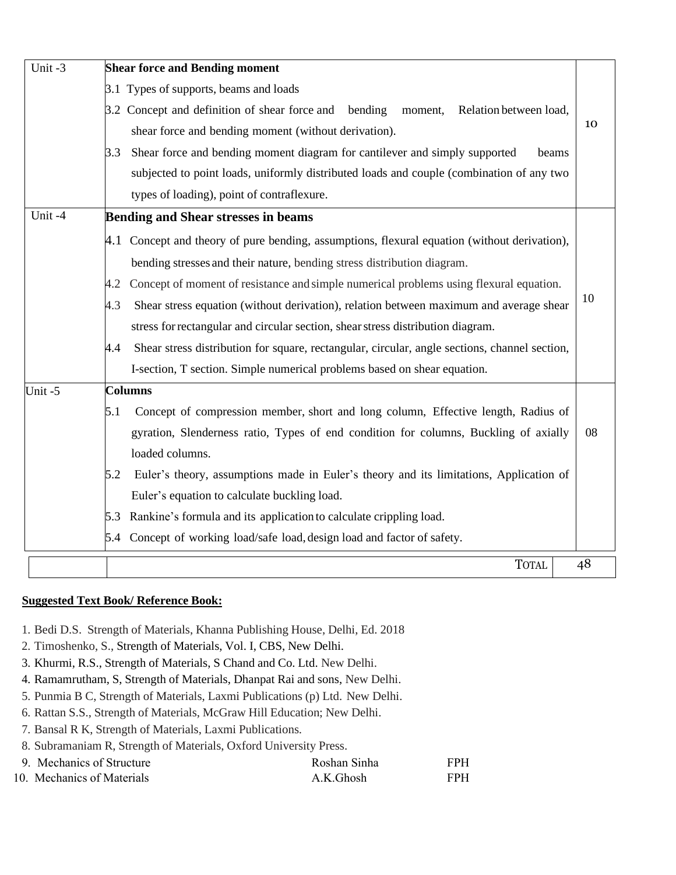| Unit-3 | <b>Shear force and Bending moment</b>                                                                |    |
|--------|------------------------------------------------------------------------------------------------------|----|
|        | 3.1 Types of supports, beams and loads                                                               |    |
|        | 3.2 Concept and definition of shear force and bending<br>moment,<br>Relation between load,           |    |
|        | shear force and bending moment (without derivation).                                                 | 10 |
|        | Shear force and bending moment diagram for cantilever and simply supported<br>3.3<br>beams           |    |
|        | subjected to point loads, uniformly distributed loads and couple (combination of any two             |    |
|        | types of loading), point of contraflexure.                                                           |    |
| Unit-4 | <b>Bending and Shear stresses in beams</b>                                                           |    |
|        | 4.1 Concept and theory of pure bending, assumptions, flexural equation (without derivation),         |    |
|        | bending stresses and their nature, bending stress distribution diagram.                              |    |
|        | Concept of moment of resistance and simple numerical problems using flexural equation.<br>4.2        |    |
|        | 4.3<br>Shear stress equation (without derivation), relation between maximum and average shear        | 10 |
|        | stress for rectangular and circular section, shear stress distribution diagram.                      |    |
|        | Shear stress distribution for square, rectangular, circular, angle sections, channel section,<br>4.4 |    |
|        | I-section, T section. Simple numerical problems based on shear equation.                             |    |
| Unit-5 | <b>Columns</b>                                                                                       |    |
|        | Concept of compression member, short and long column, Effective length, Radius of<br>5.1             |    |
|        | gyration, Slenderness ratio, Types of end condition for columns, Buckling of axially                 | 08 |
|        | loaded columns.                                                                                      |    |
|        | Euler's theory, assumptions made in Euler's theory and its limitations, Application of<br>5.2        |    |
|        | Euler's equation to calculate buckling load.                                                         |    |
|        | 5.3 Rankine's formula and its application to calculate crippling load.                               |    |
|        | 5.4 Concept of working load/safe load, design load and factor of safety.                             |    |
|        | <b>TOTAL</b>                                                                                         | 48 |

#### **Suggested Text Book/ Reference Book:**

- 1. Bedi D.S. Strength of Materials, Khanna Publishing House, Delhi, Ed. 2018
- 2. Timoshenko, S., Strength of Materials, Vol. I, CBS, New Delhi.
- 3. Khurmi, R.S., Strength of Materials, S Chand and Co. Ltd. New Delhi.
- 4. Ramamrutham, S, Strength of Materials, Dhanpat Rai and sons, New Delhi.
- 5. Punmia B C, Strength of Materials, Laxmi Publications (p) Ltd. New Delhi.
- 6. Rattan S.S., Strength of Materials, McGraw Hill Education; New Delhi.
- 7. Bansal R K, Strength of Materials, Laxmi Publications.
- 8. Subramaniam R, Strength of Materials, Oxford University Press.
- 9. Mechanics of Structure Roshan Sinha FPH 10. Mechanics of Materials **A.K.Ghosh** FPH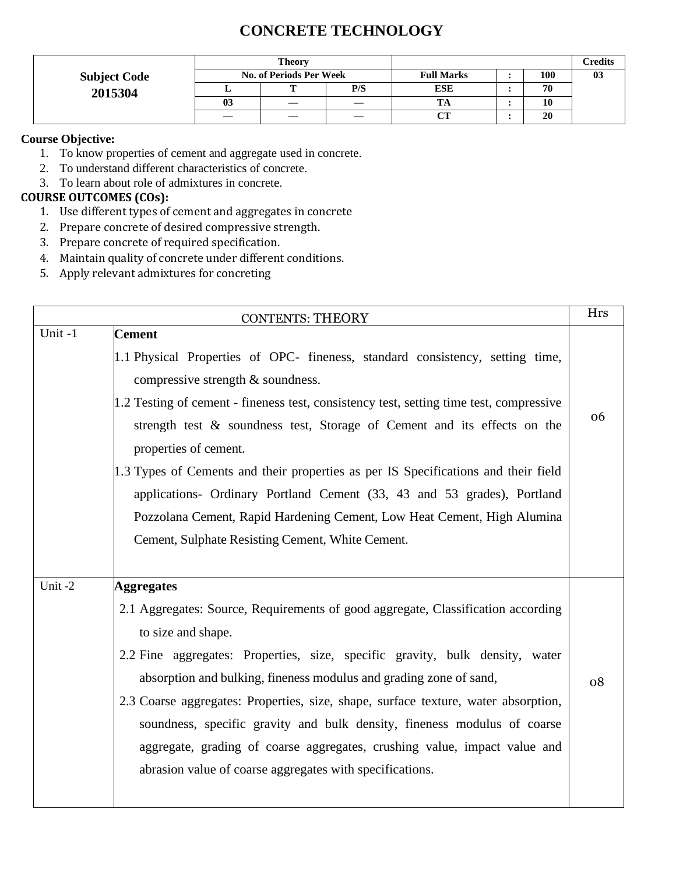# **CONCRETE TECHNOLOGY**

|                     |                | <b>Theory</b>                  |     |                   |     | <b>Predits</b> |
|---------------------|----------------|--------------------------------|-----|-------------------|-----|----------------|
| <b>Subject Code</b> |                | <b>No. of Periods Per Week</b> |     | <b>Full Marks</b> | 100 | 03             |
| 2015304             |                | m                              | P/S | <b>ESE</b>        | 70  |                |
|                     | 0 <sup>3</sup> |                                |     | ľА                | 10  |                |
|                     |                |                                |     | $\alpha$ tt       | 20  |                |

#### **Course Objective:**

- 1. To know properties of cement and aggregate used in concrete.
- 2. To understand different characteristics of concrete.
- 3. To learn about role of admixtures in concrete.

- 1. Use different types of cement and aggregates in concrete
- 2. Prepare concrete of desired compressive strength.
- 3. Prepare concrete of required specification.
- 4. Maintain quality of concrete under different conditions.
- 5. Apply relevant admixtures for concreting

| <b>CONTENTS: THEORY</b> |                                                                                         |    |  |
|-------------------------|-----------------------------------------------------------------------------------------|----|--|
| Unit-1                  | <b>Cement</b>                                                                           |    |  |
|                         | 1.1 Physical Properties of OPC- fineness, standard consistency, setting time,           |    |  |
|                         | compressive strength & soundness.                                                       |    |  |
|                         | 1.2 Testing of cement - fineness test, consistency test, setting time test, compressive |    |  |
|                         | strength test & soundness test, Storage of Cement and its effects on the                | 06 |  |
|                         | properties of cement.                                                                   |    |  |
|                         | 1.3 Types of Cements and their properties as per IS Specifications and their field      |    |  |
|                         | applications- Ordinary Portland Cement (33, 43 and 53 grades), Portland                 |    |  |
|                         | Pozzolana Cement, Rapid Hardening Cement, Low Heat Cement, High Alumina                 |    |  |
|                         | Cement, Sulphate Resisting Cement, White Cement.                                        |    |  |
|                         |                                                                                         |    |  |
| Unit-2                  | <b>Aggregates</b>                                                                       |    |  |
|                         | 2.1 Aggregates: Source, Requirements of good aggregate, Classification according        |    |  |
|                         | to size and shape.                                                                      |    |  |
|                         | 2.2 Fine aggregates: Properties, size, specific gravity, bulk density, water            |    |  |
|                         | absorption and bulking, fineness modulus and grading zone of sand,                      | 08 |  |
|                         | 2.3 Coarse aggregates: Properties, size, shape, surface texture, water absorption,      |    |  |
|                         | soundness, specific gravity and bulk density, fineness modulus of coarse                |    |  |
|                         | aggregate, grading of coarse aggregates, crushing value, impact value and               |    |  |
|                         | abrasion value of coarse aggregates with specifications.                                |    |  |
|                         |                                                                                         |    |  |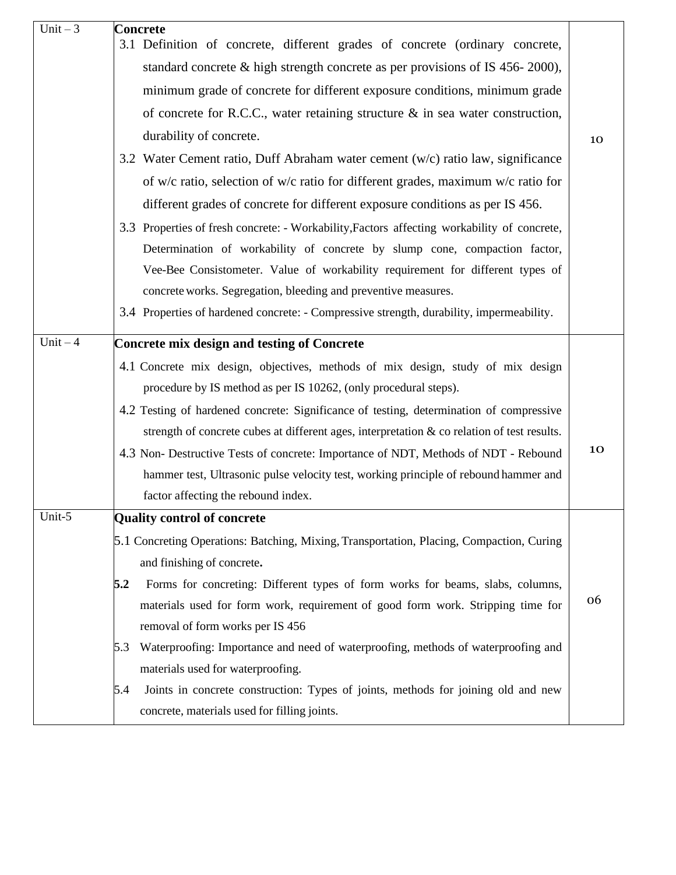| Unit $-3$  | <b>Concrete</b><br>3.1 Definition of concrete, different grades of concrete (ordinary concrete,                                          |    |
|------------|------------------------------------------------------------------------------------------------------------------------------------------|----|
|            | standard concrete $\&$ high strength concrete as per provisions of IS 456-2000),                                                         |    |
|            | minimum grade of concrete for different exposure conditions, minimum grade                                                               |    |
|            | of concrete for R.C.C., water retaining structure $\&$ in sea water construction,                                                        |    |
|            | durability of concrete.                                                                                                                  | 10 |
|            | 3.2 Water Cement ratio, Duff Abraham water cement (w/c) ratio law, significance                                                          |    |
|            | of w/c ratio, selection of w/c ratio for different grades, maximum w/c ratio for                                                         |    |
|            | different grades of concrete for different exposure conditions as per IS 456.                                                            |    |
|            | 3.3 Properties of fresh concrete: - Workability, Factors affecting workability of concrete,                                              |    |
|            | Determination of workability of concrete by slump cone, compaction factor,                                                               |    |
|            | Vee-Bee Consistometer. Value of workability requirement for different types of                                                           |    |
|            | concrete works. Segregation, bleeding and preventive measures.                                                                           |    |
|            | 3.4 Properties of hardened concrete: - Compressive strength, durability, impermeability.                                                 |    |
| $Unit - 4$ | <b>Concrete mix design and testing of Concrete</b>                                                                                       |    |
|            | 4.1 Concrete mix design, objectives, methods of mix design, study of mix design                                                          |    |
|            | procedure by IS method as per IS 10262, (only procedural steps).                                                                         |    |
|            | 4.2 Testing of hardened concrete: Significance of testing, determination of compressive                                                  |    |
|            | strength of concrete cubes at different ages, interpretation $\&$ co relation of test results.                                           |    |
|            | 4.3 Non- Destructive Tests of concrete: Importance of NDT, Methods of NDT - Rebound                                                      | 10 |
|            | hammer test, Ultrasonic pulse velocity test, working principle of rebound hammer and                                                     |    |
|            | factor affecting the rebound index.                                                                                                      |    |
| Unit-5     | <b>Quality control of concrete</b>                                                                                                       |    |
|            | 5.1 Concreting Operations: Batching, Mixing, Transportation, Placing, Compaction, Curing                                                 |    |
|            | and finishing of concrete.                                                                                                               |    |
|            | Forms for concreting: Different types of form works for beams, slabs, columns,<br>5.2                                                    | 06 |
|            | materials used for form work, requirement of good form work. Stripping time for                                                          |    |
|            | removal of form works per IS 456                                                                                                         |    |
|            | Waterproofing: Importance and need of waterproofing, methods of waterproofing and<br>5.3                                                 |    |
|            | materials used for waterproofing.                                                                                                        |    |
|            | Joints in concrete construction: Types of joints, methods for joining old and new<br>5.4<br>concrete, materials used for filling joints. |    |
|            |                                                                                                                                          |    |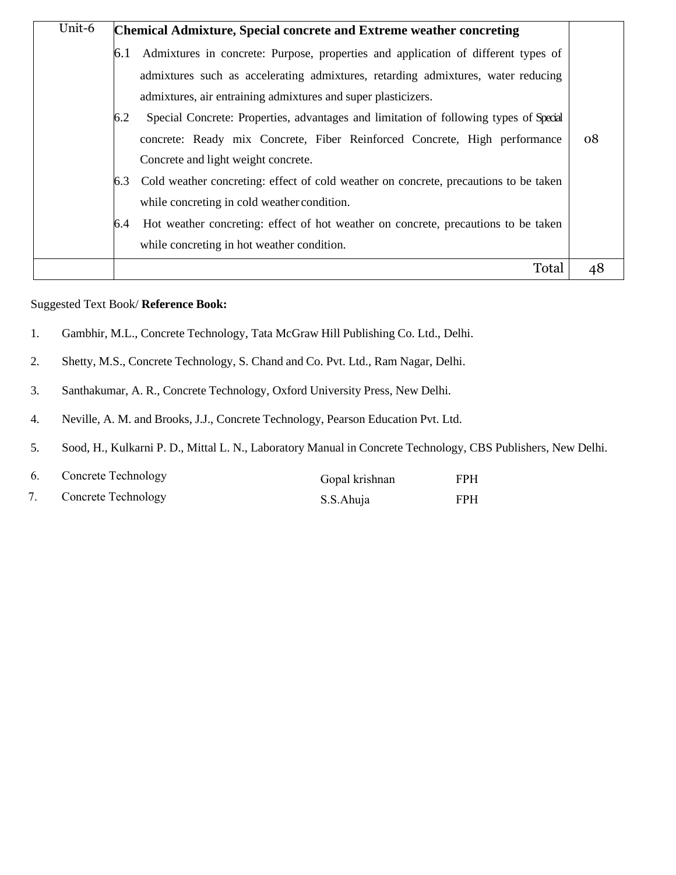| Unit-6 |     | <b>Chemical Admixture, Special concrete and Extreme weather concreting</b>            |    |
|--------|-----|---------------------------------------------------------------------------------------|----|
|        |     | Admixtures in concrete: Purpose, properties and application of different types of     |    |
|        |     | admixtures such as accelerating admixtures, retarding admixtures, water reducing      |    |
|        |     | admixtures, air entraining admixtures and super plasticizers.                         |    |
|        | 6.2 | Special Concrete: Properties, advantages and limitation of following types of Special |    |
|        |     | concrete: Ready mix Concrete, Fiber Reinforced Concrete, High performance             | 08 |
|        |     | Concrete and light weight concrete.                                                   |    |
|        |     | Cold weather concreting: effect of cold weather on concrete, precautions to be taken  |    |
|        |     | while concreting in cold weather condition.                                           |    |
|        | 6.4 | Hot weather concreting: effect of hot weather on concrete, precautions to be taken    |    |
|        |     | while concreting in hot weather condition.                                            |    |
|        |     | Total                                                                                 | 48 |

#### Suggested Text Book/ **Reference Book:**

- 1. Gambhir, M.L., Concrete Technology, Tata McGraw Hill Publishing Co. Ltd., Delhi.
- 2. Shetty, M.S., Concrete Technology, S. Chand and Co. Pvt. Ltd., Ram Nagar, Delhi.
- 3. Santhakumar, A. R., Concrete Technology, Oxford University Press, New Delhi.
- 4. Neville, A. M. and Brooks, J.J., Concrete Technology, Pearson Education Pvt. Ltd.
- 5. Sood, H., Kulkarni P. D., Mittal L. N., Laboratory Manual in Concrete Technology, CBS Publishers, New Delhi.

| <b>Concrete Technology</b> | Gopal krishnan | <b>FPH</b> |
|----------------------------|----------------|------------|
| Concrete Technology        | S.S.Ahuja      | <b>FPH</b> |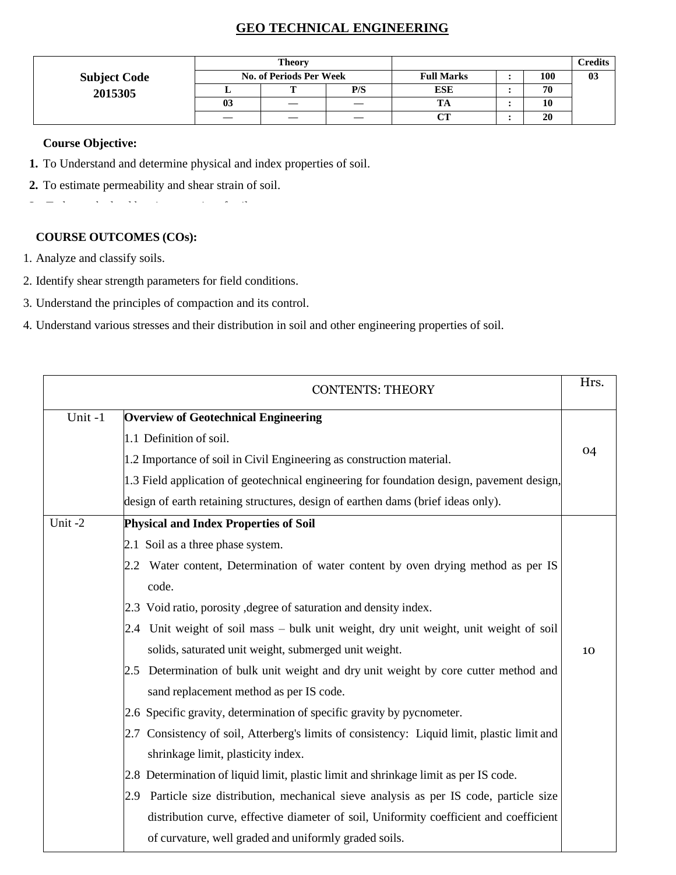# **GEO TECHNICAL ENGINEERING**

|                     |                         | Theory |     |                   |     | Credits |
|---------------------|-------------------------|--------|-----|-------------------|-----|---------|
| <b>Subject Code</b> | No. of Periods Per Week |        |     | <b>Full Marks</b> | 100 | 03      |
| 2015305             |                         |        | P/S | <b>ESE</b>        | 70  |         |
|                     | 0 <sup>3</sup>          |        |     |                   | 10  |         |
|                     |                         |        |     | $\alpha$          | 20  |         |

#### **Course Objective:**

- **1.** To Understand and determine physical and index properties of soil.
- **2.** To estimate permeability and shear strain of soil.
- **3.** To know the load bearing capacity of soil.

- 1. Analyze and classify soils.
- 2. Identify shear strength parameters for field conditions.
- 3. Understand the principles of compaction and its control.
- 4. Understand various stresses and their distribution in soil and other engineering properties of soil.

|        | <b>CONTENTS: THEORY</b>                                                                     | Hrs. |
|--------|---------------------------------------------------------------------------------------------|------|
| Unit-1 | <b>Overview of Geotechnical Engineering</b>                                                 |      |
|        | 1.1 Definition of soil.                                                                     |      |
|        | 1.2 Importance of soil in Civil Engineering as construction material.                       | 04   |
|        | 1.3 Field application of geotechnical engineering for foundation design, pavement design,   |      |
|        | design of earth retaining structures, design of earthen dams (brief ideas only).            |      |
| Unit-2 | <b>Physical and Index Properties of Soil</b>                                                |      |
|        | 2.1 Soil as a three phase system.                                                           |      |
|        | 2.2 Water content, Determination of water content by oven drying method as per IS           |      |
|        | code.                                                                                       |      |
|        | 2.3 Void ratio, porosity, degree of saturation and density index.                           |      |
|        | 2.4 Unit weight of soil mass - bulk unit weight, dry unit weight, unit weight of soil       |      |
|        | solids, saturated unit weight, submerged unit weight.                                       | 10   |
|        | 2.5 Determination of bulk unit weight and dry unit weight by core cutter method and         |      |
|        | sand replacement method as per IS code.                                                     |      |
|        | 2.6 Specific gravity, determination of specific gravity by pycnometer.                      |      |
|        | 2.7 Consistency of soil, Atterberg's limits of consistency: Liquid limit, plastic limit and |      |
|        | shrinkage limit, plasticity index.                                                          |      |
|        | 2.8 Determination of liquid limit, plastic limit and shrinkage limit as per IS code.        |      |
|        | 2.9 Particle size distribution, mechanical sieve analysis as per IS code, particle size     |      |
|        | distribution curve, effective diameter of soil, Uniformity coefficient and coefficient      |      |
|        | of curvature, well graded and uniformly graded soils.                                       |      |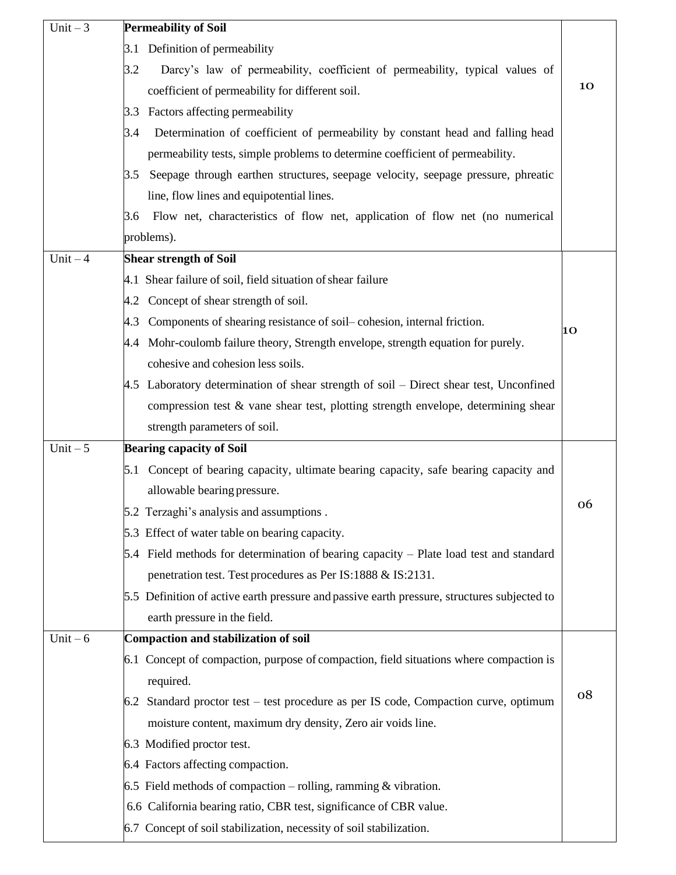| Unit $-3$  | <b>Permeability of Soil</b>                                                                 |    |
|------------|---------------------------------------------------------------------------------------------|----|
|            | Definition of permeability<br>3.1                                                           |    |
|            | Darcy's law of permeability, coefficient of permeability, typical values of<br>3.2          |    |
|            | coefficient of permeability for different soil.                                             | 10 |
|            | 3.3 Factors affecting permeability                                                          |    |
|            | Determination of coefficient of permeability by constant head and falling head<br>3.4       |    |
|            | permeability tests, simple problems to determine coefficient of permeability.               |    |
|            | Seepage through earthen structures, seepage velocity, seepage pressure, phreatic<br>3.5     |    |
|            | line, flow lines and equipotential lines.                                                   |    |
|            | Flow net, characteristics of flow net, application of flow net (no numerical<br>3.6         |    |
|            | problems).                                                                                  |    |
| $Unit - 4$ | <b>Shear strength of Soil</b>                                                               |    |
|            | 4.1 Shear failure of soil, field situation of shear failure                                 |    |
|            | 4.2 Concept of shear strength of soil.                                                      |    |
|            | Components of shearing resistance of soil-cohesion, internal friction.<br>4.3               | 10 |
|            | 4.4 Mohr-coulomb failure theory, Strength envelope, strength equation for purely.           |    |
|            | cohesive and cohesion less soils.                                                           |    |
|            | 4.5 Laboratory determination of shear strength of soil – Direct shear test, Unconfined      |    |
|            | compression test $\&$ vane shear test, plotting strength envelope, determining shear        |    |
|            | strength parameters of soil.                                                                |    |
| Unit $-5$  | <b>Bearing capacity of Soil</b>                                                             |    |
|            | 5.1 Concept of bearing capacity, ultimate bearing capacity, safe bearing capacity and       |    |
|            | allowable bearing pressure.                                                                 |    |
|            | 5.2 Terzaghi's analysis and assumptions.                                                    | 06 |
|            | 5.3 Effect of water table on bearing capacity.                                              |    |
|            | 5.4 Field methods for determination of bearing capacity – Plate load test and standard      |    |
|            | penetration test. Test procedures as Per IS:1888 & IS:2131.                                 |    |
|            | 5.5 Definition of active earth pressure and passive earth pressure, structures subjected to |    |
|            | earth pressure in the field.                                                                |    |
| Unit $-6$  | Compaction and stabilization of soil                                                        |    |
|            | 6.1 Concept of compaction, purpose of compaction, field situations where compaction is      |    |
|            | required.                                                                                   |    |
|            | 6.2 Standard proctor test – test procedure as per IS code, Compaction curve, optimum        | 08 |
|            | moisture content, maximum dry density, Zero air voids line.                                 |    |
|            | 6.3 Modified proctor test.                                                                  |    |
|            | 6.4 Factors affecting compaction.                                                           |    |
|            | 6.5 Field methods of compaction – rolling, ramming $&$ vibration.                           |    |
|            | 6.6 California bearing ratio, CBR test, significance of CBR value.                          |    |
|            | 6.7 Concept of soil stabilization, necessity of soil stabilization.                         |    |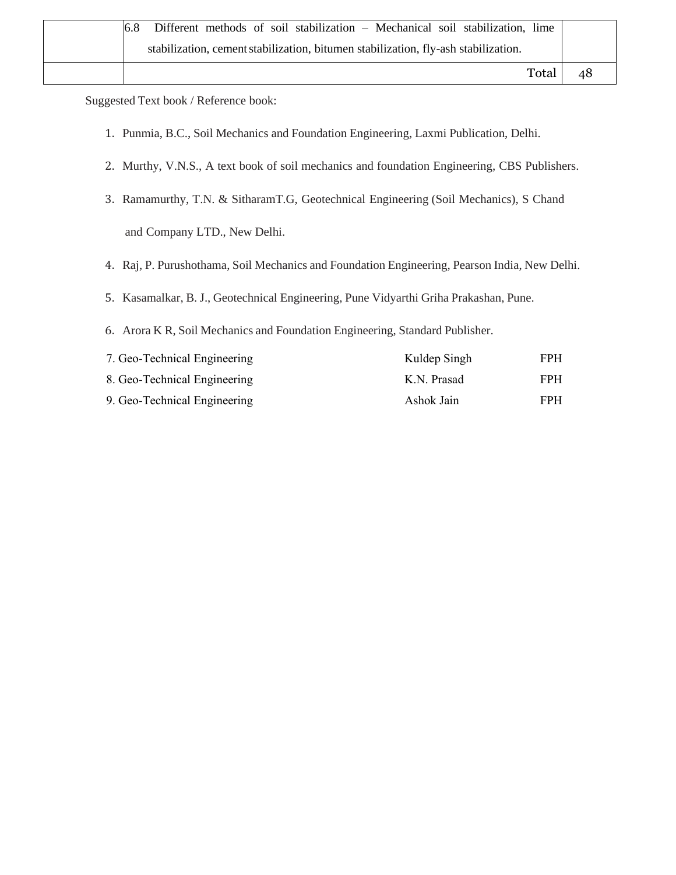| 6.8 | Different methods of soil stabilization – Mechanical soil stabilization, lime      |       |    |
|-----|------------------------------------------------------------------------------------|-------|----|
|     | stabilization, cement stabilization, bitumen stabilization, fly-ash stabilization. |       |    |
|     |                                                                                    | Total | 48 |

Suggested Text book / Reference book:

- 1. Punmia, B.C., Soil Mechanics and Foundation Engineering, Laxmi Publication, Delhi.
- 2. Murthy, V.N.S., A text book of soil mechanics and foundation Engineering, CBS Publishers.
- 3. Ramamurthy, T.N. & SitharamT.G, Geotechnical Engineering (Soil Mechanics), S Chand and Company LTD., New Delhi.
- 4. Raj, P. Purushothama, Soil Mechanics and Foundation Engineering, Pearson India, New Delhi.
- 5. Kasamalkar, B. J., Geotechnical Engineering, Pune Vidyarthi Griha Prakashan, Pune.
- 6. Arora K R, Soil Mechanics and Foundation Engineering, Standard Publisher.

| 7. Geo-Technical Engineering | Kuldep Singh | FPH. |
|------------------------------|--------------|------|
| 8. Geo-Technical Engineering | K.N. Prasad  | FPH. |
| 9. Geo-Technical Engineering | Ashok Jain   | FPH. |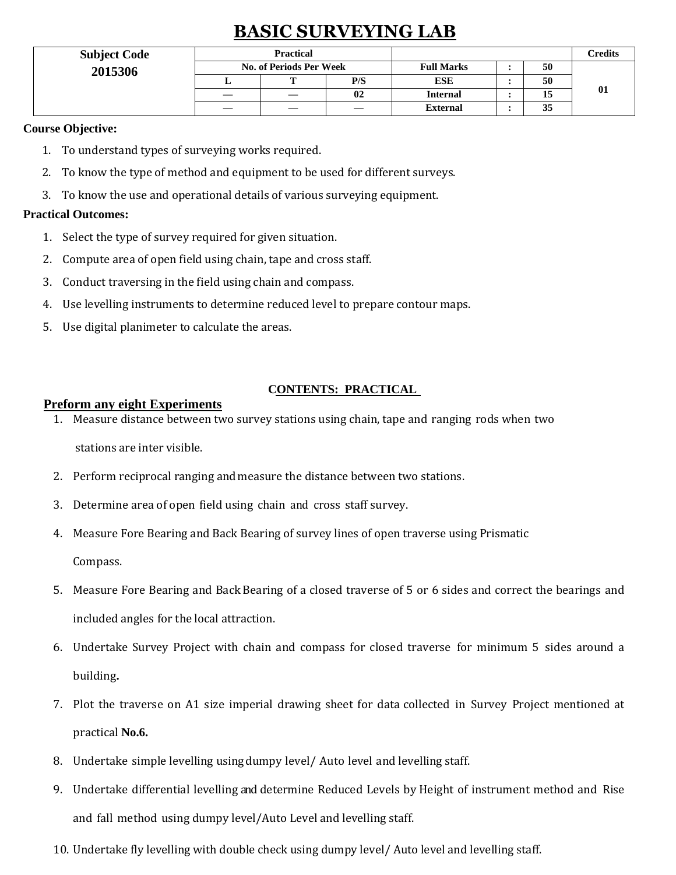# **BASIC SURVEYING LAB**

| <b>Subject Code</b> | <b>Practical</b>               |   |     |                   | Credits |    |
|---------------------|--------------------------------|---|-----|-------------------|---------|----|
| 2015306             | <b>No. of Periods Per Week</b> |   |     | <b>Full Marks</b> | 50      |    |
|                     |                                | m | P/S | <b>ESE</b>        | 50      |    |
|                     |                                |   | 02  | <b>Internal</b>   | 15      | 01 |
|                     |                                |   |     | <b>External</b>   | 35      |    |

#### **Course Objective:**

- 1. To understand types of surveying works required.
- 2. To know the type of method and equipment to be used for different surveys.
- 3. To know the use and operational details of various surveying equipment.

#### **Practical Outcomes:**

- 1. Select the type of survey required for given situation.
- 2. Compute area of open field using chain, tape and cross staff.
- 3. Conduct traversing in the field using chain and compass.
- 4. Use levelling instruments to determine reduced level to prepare contour maps.
- 5. Use digital planimeter to calculate the areas.

#### **CONTENTS: PRACTICAL**

#### **Preform any eight Experiments**

- 1. Measure distance between two survey stations using chain, tape and ranging rods when two stations are inter visible.
- 2. Perform reciprocal ranging andmeasure the distance between two stations.
- 3. Determine area of open field using chain and cross staff survey.
- 4. Measure Fore Bearing and Back Bearing of survey lines of open traverse using Prismatic

Compass.

- 5. Measure Fore Bearing and Back Bearing of a closed traverse of 5 or 6 sides and correct the bearings and included angles for the local attraction.
- 6. Undertake Survey Project with chain and compass for closed traverse for minimum 5 sides around a building**.**
- 7. Plot the traverse on A1 size imperial drawing sheet for data collected in Survey Project mentioned at practical **No.6.**
- 8. Undertake simple levelling usingdumpy level/ Auto level and levelling staff.
- 9. Undertake differential levelling and determine Reduced Levels by Height of instrument method and Rise and fall method using dumpy level/Auto Level and levelling staff.
- 10. Undertake fly levelling with double check using dumpy level/ Auto level and levelling staff.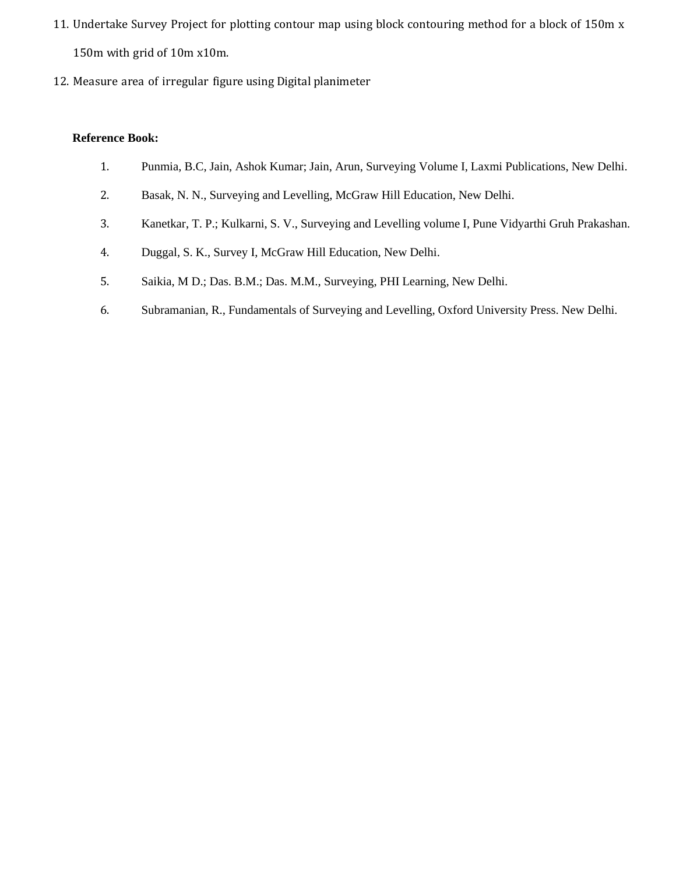- 11. Undertake Survey Project for plotting contour map using block contouring method for a block of 150m x 150m with grid of 10m x10m.
- 12. Measure area of irregular figure using Digital planimeter

- 1. Punmia, B.C, Jain, Ashok Kumar; Jain, Arun, Surveying Volume I, Laxmi Publications, New Delhi.
- 2. Basak, N. N., Surveying and Levelling, McGraw Hill Education, New Delhi.
- 3. Kanetkar, T. P.; Kulkarni, S. V., Surveying and Levelling volume I, Pune Vidyarthi Gruh Prakashan.
- 4. Duggal, S. K., Survey I, McGraw Hill Education, New Delhi.
- 5. Saikia, M D.; Das. B.M.; Das. M.M., Surveying, PHI Learning, New Delhi.
- 6. Subramanian, R., Fundamentals of Surveying and Levelling, Oxford University Press. New Delhi.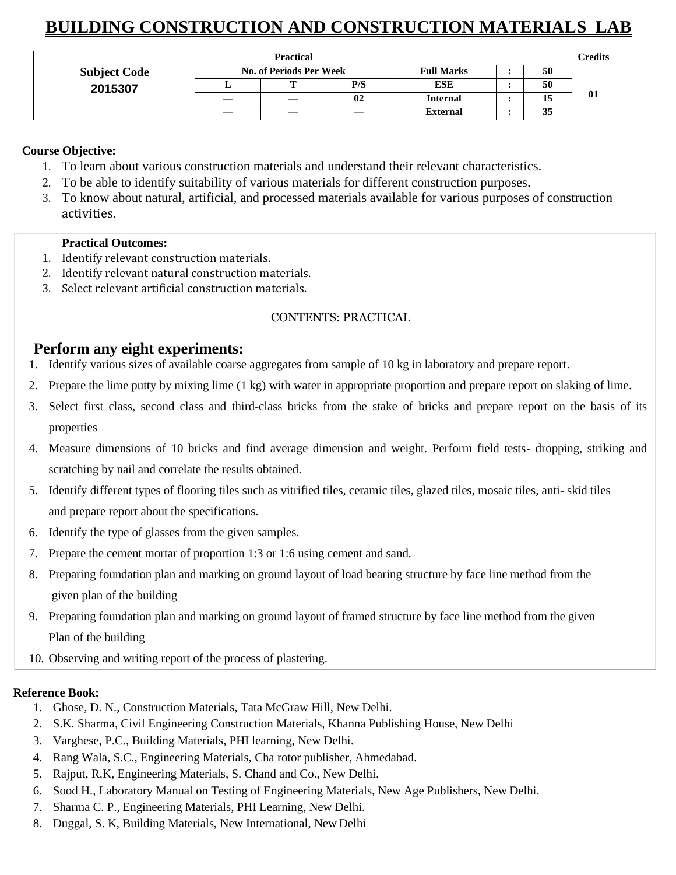# **BUILDING CONSTRUCTION AND CONSTRUCTION MATERIALS LAB**

|                     | <b>Practical</b>               |  |     |                   | <b>Predits</b> |    |
|---------------------|--------------------------------|--|-----|-------------------|----------------|----|
| <b>Subject Code</b> | <b>No. of Periods Per Week</b> |  |     | <b>Full Marks</b> | 50             |    |
| 2015307             |                                |  | P/S | <b>ESE</b>        | 50             |    |
|                     |                                |  | 02  | <b>Internal</b>   | 15             | 01 |
|                     |                                |  |     | <b>External</b>   | 35             |    |

### **Course Objective:**

- 1. To learn about various construction materials and understand their relevant characteristics.
- 2. To be able to identify suitability of various materials for different construction purposes.
- 3. To know about natural, artificial, and processed materials available for various purposes of construction activities.

#### **Practical Outcomes:**

- 1. Identify relevant construction materials.
- 2. Identify relevant natural construction materials.
- 3. Select relevant artificial construction materials.

#### CONTENTS: PRACTICAL

# **Perform any eight experiments:**

- 1. Identify various sizes of available coarse aggregates from sample of 10 kg in laboratory and prepare report.
- 2. Prepare the lime putty by mixing lime (1 kg) with water in appropriate proportion and prepare report on slaking of lime.
- 3. Select first class, second class and third-class bricks from the stake of bricks and prepare report on the basis of its properties
- 4. Measure dimensions of 10 bricks and find average dimension and weight. Perform field tests- dropping, striking and scratching by nail and correlate the results obtained.
- 5. Identify different types of flooring tiles such as vitrified tiles, ceramic tiles, glazed tiles, mosaic tiles, anti- skid tiles and prepare report about the specifications.
- 6. Identify the type of glasses from the given samples.
- 7. Prepare the cement mortar of proportion 1:3 or 1:6 using cement and sand.
- 8. Preparing foundation plan and marking on ground layout of load bearing structure by face line method from the given plan of the building
- 9. Preparing foundation plan and marking on ground layout of framed structure by face line method from the given Plan of the building
- 10. Observing and writing report of the process of plastering.

- 1. Ghose, D. N., Construction Materials, Tata McGraw Hill, New Delhi.
- 2. S.K. Sharma, Civil Engineering Construction Materials, Khanna Publishing House, New Delhi
- 3. Varghese, P.C., Building Materials, PHI learning, New Delhi.
- 4. Rang Wala, S.C., Engineering Materials, Cha rotor publisher, Ahmedabad.
- 5. Rajput, R.K, Engineering Materials, S. Chand and Co., New Delhi.
- 6. Sood H., Laboratory Manual on Testing of Engineering Materials, New Age Publishers, New Delhi.
- 7. Sharma C. P., Engineering Materials, PHI Learning, New Delhi.
- 8. Duggal, S. K, Building Materials, New International, New Delhi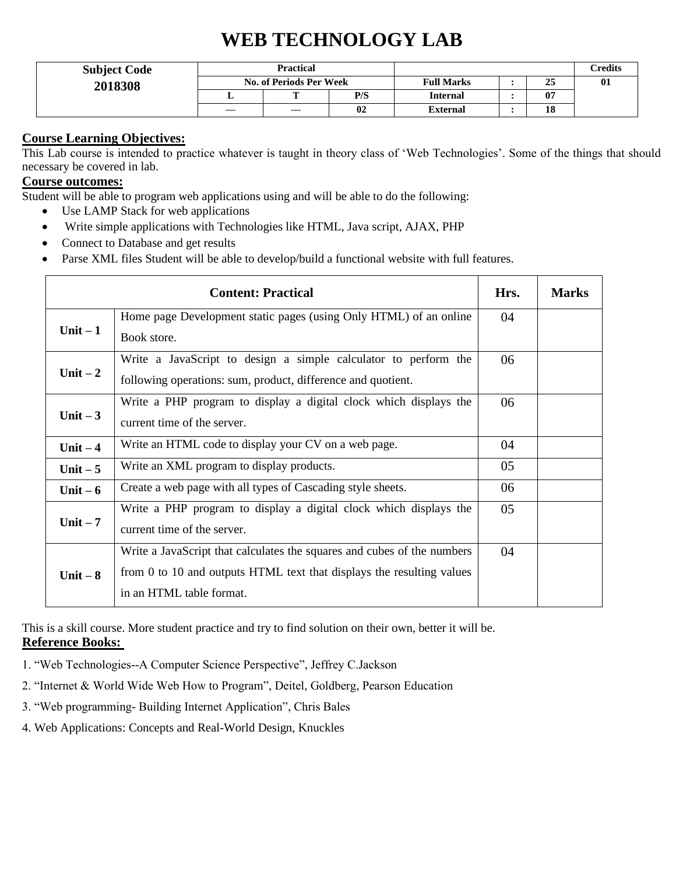# **WEB TECHNOLOGY LAB**

| <b>Subject Code</b> | <b>Practical</b><br><b>No. of Periods Per Week</b> |                          |     |                   | <b>Credits</b> |     |
|---------------------|----------------------------------------------------|--------------------------|-----|-------------------|----------------|-----|
| 2018308             |                                                    |                          |     | <b>Full Marks</b> | 25             | -01 |
|                     | ≖                                                  | m                        | P/S | <b>Internal</b>   | 07             |     |
|                     |                                                    | $\overline{\phantom{m}}$ | 02  | <b>External</b>   | 18             |     |

#### **Course Learning Objectives:**

This Lab course is intended to practice whatever is taught in theory class of 'Web Technologies'. Some of the things that should necessary be covered in lab.

## **Course outcomes:**

Student will be able to program web applications using and will be able to do the following:

- Use LAMP Stack for web applications
- Write simple applications with Technologies like HTML, Java script, AJAX, PHP
- Connect to Database and get results
- Parse XML files Student will be able to develop/build a functional website with full features.

|           | <b>Content: Practical</b>                                                                                                                                                    | Hrs. | <b>Marks</b> |
|-----------|------------------------------------------------------------------------------------------------------------------------------------------------------------------------------|------|--------------|
| Unit $-1$ | Home page Development static pages (using Only HTML) of an online<br>Book store.                                                                                             | 04   |              |
| Unit $-2$ | Write a JavaScript to design a simple calculator to perform the<br>following operations: sum, product, difference and quotient.                                              | 06   |              |
| Unit $-3$ | Write a PHP program to display a digital clock which displays the<br>current time of the server.                                                                             | 06   |              |
| Unit $-4$ | Write an HTML code to display your CV on a web page.                                                                                                                         | 04   |              |
| Unit $-5$ | Write an XML program to display products.                                                                                                                                    | 05   |              |
| Unit $-6$ | Create a web page with all types of Cascading style sheets.                                                                                                                  | 06   |              |
| Unit $-7$ | Write a PHP program to display a digital clock which displays the<br>current time of the server.                                                                             | 05   |              |
| Unit $-8$ | Write a JavaScript that calculates the squares and cubes of the numbers<br>from 0 to 10 and outputs HTML text that displays the resulting values<br>in an HTML table format. | 04   |              |

This is a skill course. More student practice and try to find solution on their own, better it will be. **Reference Books:** 

- 1. "Web Technologies--A Computer Science Perspective", Jeffrey C.Jackson
- 2. "Internet & World Wide Web How to Program", Deitel, Goldberg, Pearson Education
- 3. "Web programming- Building Internet Application", Chris Bales
- 4. Web Applications: Concepts and Real-World Design, Knuckles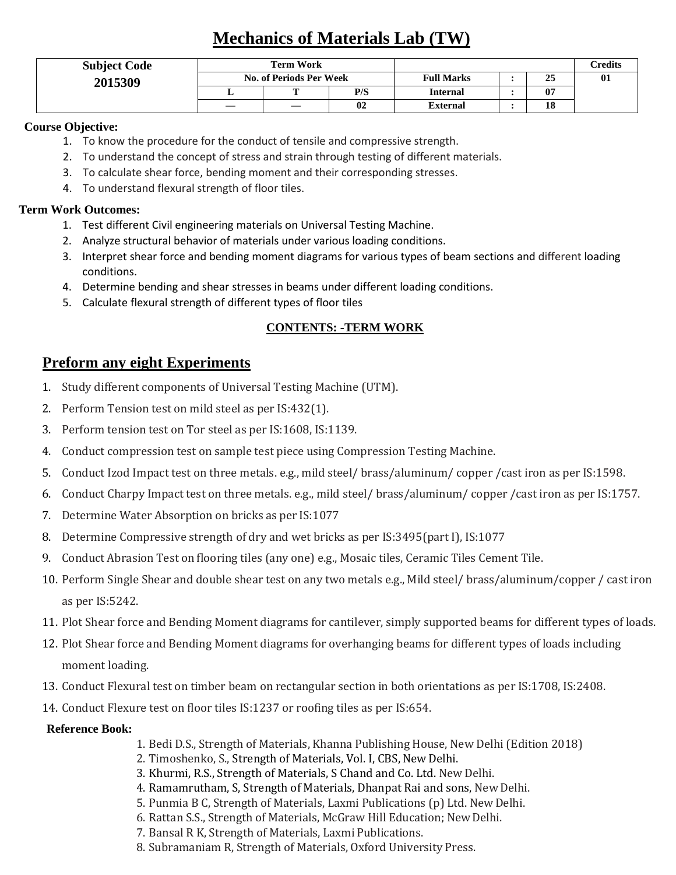# **Mechanics of Materials Lab (TW)**

| <b>Subject Code</b> | <b>Term Work</b>               |                   |     |                   | Credits   |     |
|---------------------|--------------------------------|-------------------|-----|-------------------|-----------|-----|
| 2015309             | <b>No. of Periods Per Week</b> |                   |     | <b>Full Marks</b> | ^ -<br>25 | -01 |
|                     |                                | m                 | P/S | <b>Internal</b>   | 07        |     |
|                     | $\overbrace{\phantom{13333}}$  | $\hspace{0.05cm}$ | 02  | <b>External</b>   | 10        |     |

#### **Course Objective:**

- 1. To know the procedure for the conduct of tensile and compressive strength.
- 2. To understand the concept of stress and strain through testing of different materials.
- 3. To calculate shear force, bending moment and their corresponding stresses.
- 4. To understand flexural strength of floor tiles.

#### **Term Work Outcomes:**

- 1. Test different Civil engineering materials on Universal Testing Machine.
- 2. Analyze structural behavior of materials under various loading conditions.
- 3. Interpret shear force and bending moment diagrams for various types of beam sections and different loading conditions.
- 4. Determine bending and shear stresses in beams under different loading conditions.
- 5. Calculate flexural strength of different types of floor tiles

# **CONTENTS: -TERM WORK**

# **Preform any eight Experiments**

- 1. Study different components of Universal Testing Machine (UTM).
- 2. Perform Tension test on mild steel as per IS:432(1).
- 3. Perform tension test on Tor steel as per IS:1608, IS:1139.
- 4. Conduct compression test on sample test piece using Compression Testing Machine.
- 5. Conduct Izod Impact test on three metals. e.g., mild steel/ brass/aluminum/ copper /cast iron as per IS:1598.
- 6. Conduct Charpy Impact test on three metals. e.g., mild steel/ brass/aluminum/ copper /cast iron as per IS:1757.
- 7. Determine Water Absorption on bricks as per IS:1077
- 8. Determine Compressive strength of dry and wet bricks as per IS:3495(part I), IS:1077
- 9. Conduct Abrasion Test on flooring tiles (any one) e.g., Mosaic tiles, Ceramic Tiles Cement Tile.
- 10. Perform Single Shear and double shear test on any two metals e.g., Mild steel/ brass/aluminum/copper / cast iron as per IS:5242.
- 11. Plot Shear force and Bending Moment diagrams for cantilever, simply supported beams for different types of loads.
- 12. Plot Shear force and Bending Moment diagrams for overhanging beams for different types of loads including moment loading.
- 13. Conduct Flexural test on timber beam on rectangular section in both orientations as per IS:1708, IS:2408.
- 14. Conduct Flexure test on floor tiles IS:1237 or roofing tiles as per IS:654.

- 1. Bedi D.S., Strength of Materials, Khanna Publishing House, New Delhi (Edition 2018)
- 2. Timoshenko, S., Strength of Materials, Vol. I, CBS, New Delhi.
- 3. Khurmi, R.S., Strength of Materials, S Chand and Co. Ltd. New Delhi.
- 4. Ramamrutham, S, Strength of Materials, Dhanpat Rai and sons, New Delhi.
- 5. Punmia B C, Strength of Materials, Laxmi Publications (p) Ltd. New Delhi.
- 6. Rattan S.S., Strength of Materials, McGraw Hill Education; NewDelhi.
- 7. Bansal R K, Strength of Materials, Laxmi Publications.
- 8. Subramaniam R, Strength of Materials, Oxford University Press.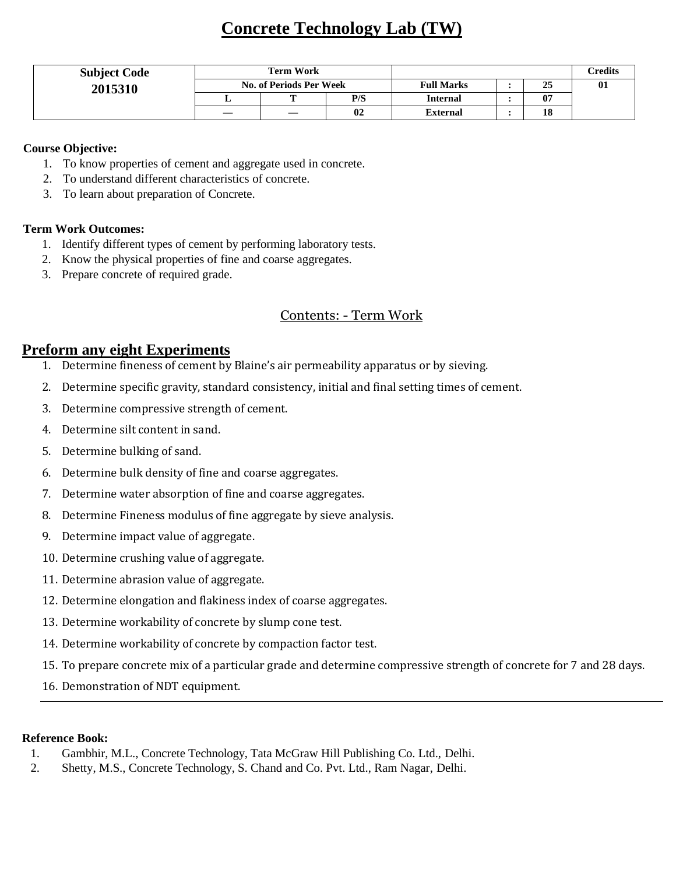# **Concrete Technology Lab (TW)**

| <b>Subject Code</b> | <b>Term Work</b>        |                   |     |                   | <b>Credits</b> |     |
|---------------------|-------------------------|-------------------|-----|-------------------|----------------|-----|
| 2015310             | No. of Periods Per Week |                   |     | <b>Full Marks</b> | 25             | -01 |
|                     |                         | <b>CONTRACTOR</b> | P/S | <b>Internal</b>   | 07             |     |
|                     | —                       |                   | 02  | <b>External</b>   | 18             |     |

#### **Course Objective:**

- 1. To know properties of cement and aggregate used in concrete.
- 2. To understand different characteristics of concrete.
- 3. To learn about preparation of Concrete.

#### **Term Work Outcomes:**

- 1. Identify different types of cement by performing laboratory tests.
- 2. Know the physical properties of fine and coarse aggregates.
- 3. Prepare concrete of required grade.

# Contents: - Term Work

### **Preform any eight Experiments**

- 1. Determine fineness of cement by Blaine's air permeability apparatus or by sieving.
- 2. Determine specific gravity, standard consistency, initial and final setting times of cement.
- 3. Determine compressive strength of cement.
- 4. Determine silt content in sand.
- 5. Determine bulking of sand.
- 6. Determine bulk density of fine and coarse aggregates.
- 7. Determine water absorption of fine and coarse aggregates.
- 8. Determine Fineness modulus of fine aggregate by sieve analysis.
- 9. Determine impact value of aggregate.
- 10. Determine crushing value of aggregate.
- 11. Determine abrasion value of aggregate.
- 12. Determine elongation and flakiness index of coarse aggregates.
- 13. Determine workability of concrete by slump cone test.
- 14. Determine workability of concrete by compaction factor test.
- 15. To prepare concrete mix of a particular grade and determine compressive strength of concrete for 7 and 28 days.
- 16. Demonstration of NDT equipment.

- 1. Gambhir, M.L., Concrete Technology, Tata McGraw Hill Publishing Co. Ltd., Delhi.
- 2. Shetty, M.S., Concrete Technology, S. Chand and Co. Pvt. Ltd., Ram Nagar, Delhi.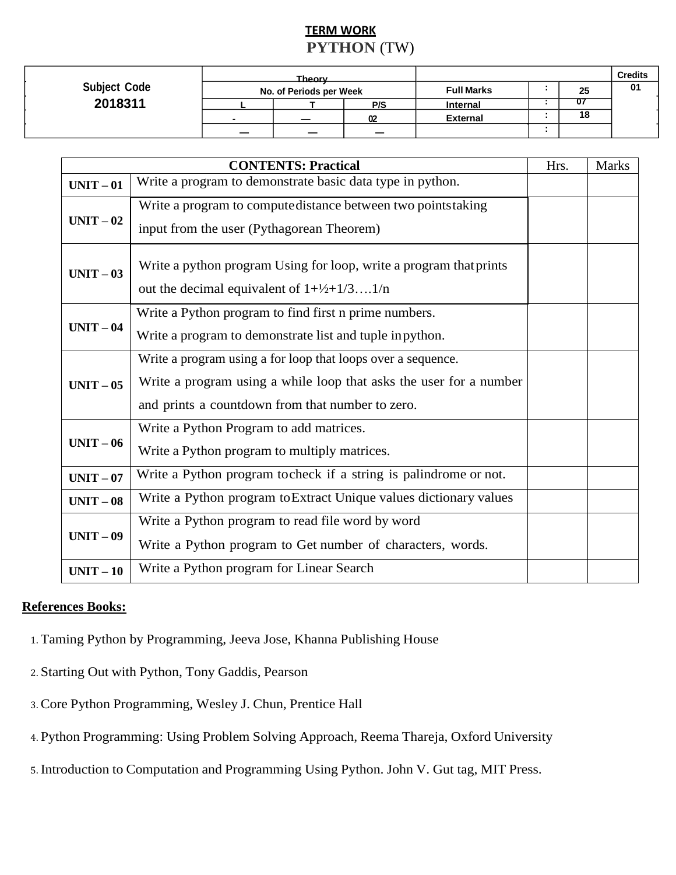# **TERM WORK PYTHON** (TW)

|                     | Theory                   |  |                          |                   |  |    | <b>Credits</b> |
|---------------------|--------------------------|--|--------------------------|-------------------|--|----|----------------|
| <b>Subject Code</b> | No. of Periods per Week  |  |                          | <b>Full Marks</b> |  | 25 | 01             |
| 2018311             |                          |  | P/S                      | <b>Internal</b>   |  |    |                |
|                     | -                        |  | 02                       | <b>External</b>   |  | 18 |                |
|                     | $\overline{\phantom{0}}$ |  | $\overline{\phantom{0}}$ |                   |  |    |                |

|           | <b>CONTENTS: Practical</b>                                                                                                                                                             | Hrs. | <b>Marks</b> |
|-----------|----------------------------------------------------------------------------------------------------------------------------------------------------------------------------------------|------|--------------|
| $UNIT-01$ | Write a program to demonstrate basic data type in python.                                                                                                                              |      |              |
| $UNIT-02$ | Write a program to compute distance between two points taking<br>input from the user (Pythagorean Theorem)                                                                             |      |              |
| $UNIT-03$ | Write a python program Using for loop, write a program that prints<br>out the decimal equivalent of $1+\frac{1}{2}+1/3$ 1/n                                                            |      |              |
| $UNIT-04$ | Write a Python program to find first n prime numbers.<br>Write a program to demonstrate list and tuple in python.                                                                      |      |              |
| $UNIT-05$ | Write a program using a for loop that loops over a sequence.<br>Write a program using a while loop that asks the user for a number<br>and prints a countdown from that number to zero. |      |              |
| $UNIT-06$ | Write a Python Program to add matrices.<br>Write a Python program to multiply matrices.                                                                                                |      |              |
| $UNIT-07$ | Write a Python program tocheck if a string is palindrome or not.                                                                                                                       |      |              |
| $UNIT-08$ | Write a Python program to Extract Unique values dictionary values                                                                                                                      |      |              |
| $UNIT-09$ | Write a Python program to read file word by word<br>Write a Python program to Get number of characters, words.                                                                         |      |              |
| $UNIT-10$ | Write a Python program for Linear Search                                                                                                                                               |      |              |

- 1. Taming Python by Programming, Jeeva Jose, Khanna Publishing House
- 2. Starting Out with Python, Tony Gaddis, Pearson
- 3. Core Python Programming, Wesley J. Chun, Prentice Hall
- 4. Python Programming: Using Problem Solving Approach, Reema Thareja, Oxford University
- 5. Introduction to Computation and Programming Using Python. John V. Gut tag, MIT Press.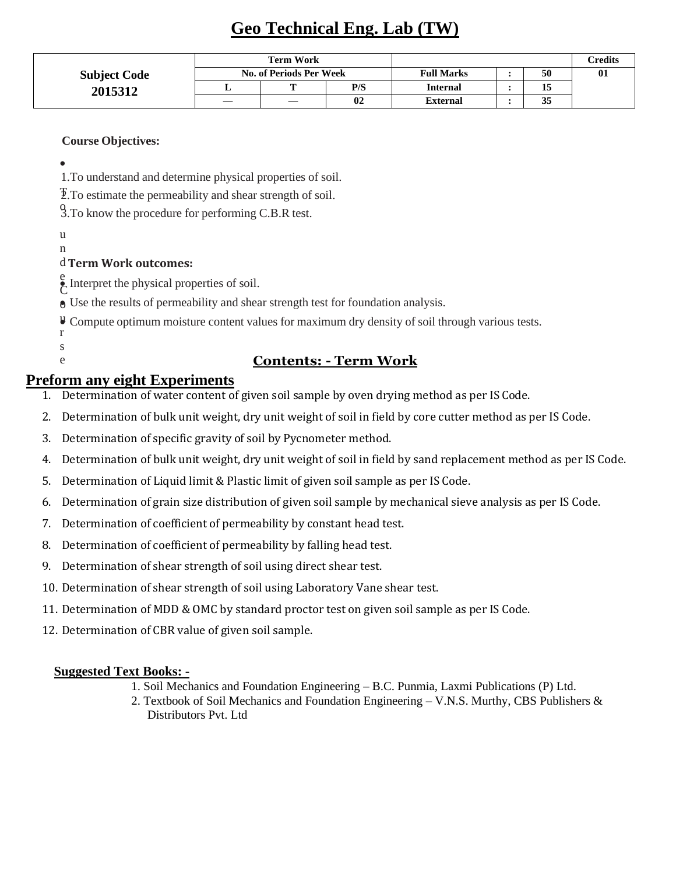# **Geo Technical Eng. Lab (TW)**

|                     | <b>Term Work</b>               |   |     |                   | Credits |              |
|---------------------|--------------------------------|---|-----|-------------------|---------|--------------|
| <b>Subject Code</b> | <b>No. of Periods Per Week</b> |   |     | <b>Full Marks</b> | 50      | $\mathbf{0}$ |
| 2015312             |                                |   | P/S | <b>Internal</b>   | 13      |              |
|                     | –                              | _ | 02  | <b>External</b>   | 35      |              |

#### **Course Objectives:**

•

 1.To understand and determine physical properties of soil.

T 2.To estimate the permeability and shear strength of soil.

9. To know the procedure for performing C.B.R test.

u n

### d **Term Work outcomes:**

e Interpret the physical properties of soil.

o • Use the results of permeability and shear strength test for foundation analysis.

U Compute optimum moisture content values for maximum dry density of soil through various tests.

#### r s e

# **Contents: - Term Work**

# **Preform any eight Experiments**

- 1. Determination of water content of given soil sample by oven drying method as per IS Code.
- 2. Determination of bulk unit weight, dry unit weight of soil in field by core cutter method as per IS Code.
- 3. Determination of specific gravity of soil by Pycnometer method.
- 4. Determination of bulk unit weight, dry unit weight of soil in field by sand replacement method as per IS Code.
- 5. Determination of Liquid limit & Plastic limit of given soil sample as per IS Code.
- 6. Determination of grain size distribution of given soil sample by mechanical sieve analysis as per IS Code.
- 7. Determination of coefficient of permeability by constant head test.
- 8. Determination of coefficient of permeability by falling head test.
- 9. Determination of shear strength of soil using direct shear test.
- 10. Determination of shear strength of soil using Laboratory Vane shear test.
- 11. Determination of MDD & OMC by standard proctor test on given soil sample as per IS Code.
- 12. Determination of CBR value of given soil sample.

### **Suggested Text Books: -**

- 1. Soil Mechanics and Foundation Engineering B.C. Punmia, Laxmi Publications (P) Ltd.
- 2. Textbook of Soil Mechanics and Foundation Engineering V.N.S. Murthy, CBS Publishers & Distributors Pvt. Ltd